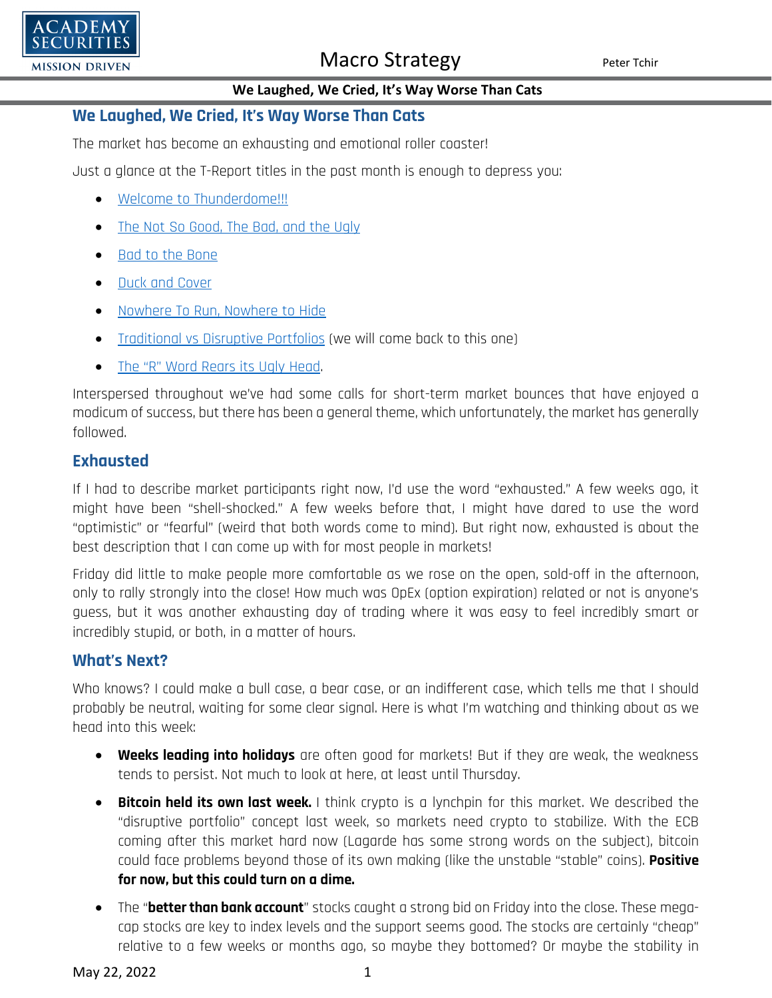

### **We Laughed, We Cried, It's Way Worse Than Cats**

### **We Laughed, We Cried, It's Way Worse Than Cats**

The market has become an exhausting and emotional roller coaster!

Just a glance at the T-Report titles in the past month is enough to depress you:

- [Welcome to Thunderdome!!!](https://www.academysecurities.com/wordpress/wp-content/uploads/2022/04/Welcome-to-Thunderdome-1.pdf)
- [The Not So Good, The Bad,](https://www.academysecurities.com/wordpress/wp-content/uploads/2022/04/The-Not-So-Good-The-Bad-and-the-Ugly-1.pdf) and the Ugly
- [Bad to the Bone](https://www.academysecurities.com/wordpress/wp-content/uploads/2022/04/Bad-to-the-Bone.pdf)
- [Duck and Cover](https://www.academysecurities.com/wordpress/wp-content/uploads/2022/05/Duck-and-Cover.pdf)
- [Nowhere To Run, Nowhere to Hide](https://www.academysecurities.com/wordpress/wp-content/uploads/2022/05/Nowhere-to-Run-Nowhere-to-Hide.pdf)
- [Traditional vs Disruptive Portfolios](https://www.academysecurities.com/wordpress/wp-content/uploads/2022/05/Traditional-vs-Disruptive-Portfolio-Construction.pdf) (we will come back to this one)
- [The "R" Word Rears its Ugly Head.](https://www.academysecurities.com/wordpress/wp-content/uploads/2022/05/The-R-Word-Rears-Its-Ugly-Head.pdf)

Interspersed throughout we've had some calls for short-term market bounces that have enjoyed a modicum of success, but there has been a general theme, which unfortunately, the market has generally followed.

### **Exhausted**

If I had to describe market participants right now, I'd use the word "exhausted." A few weeks ago, it might have been "shell-shocked." A few weeks before that, I might have dared to use the word "optimistic" or "fearful" (weird that both words come to mind). But right now, exhausted is about the best description that I can come up with for most people in markets!

Friday did little to make people more comfortable as we rose on the open, sold-off in the afternoon, only to rally strongly into the close! How much was OpEx (option expiration) related or not is anyone's guess, but it was another exhausting day of trading where it was easy to feel incredibly smart or incredibly stupid, or both, in a matter of hours.

## **What's Next?**

Who knows? I could make a bull case, a bear case, or an indifferent case, which tells me that I should probably be neutral, waiting for some clear signal. Here is what I'm watching and thinking about as we head into this week:

- **Weeks leading into holidays** are often good for markets! But if they are weak, the weakness tends to persist. Not much to look at here, at least until Thursday.
- **Bitcoin held its own last week.** I think crypto is a lynchpin for this market. We described the "disruptive portfolio" concept last week, so markets need crypto to stabilize. With the ECB coming after this market hard now (Lagarde has some strong words on the subject), bitcoin could face problems beyond those of its own making (like the unstable "stable" coins). **Positive for now, but this could turn on a dime.**
- The "**better than bank account**" stocks caught a strong bid on Friday into the close. These megacap stocks are key to index levels and the support seems good. The stocks are certainly "cheap" relative to a few weeks or months ago, so maybe they bottomed? Or maybe the stability in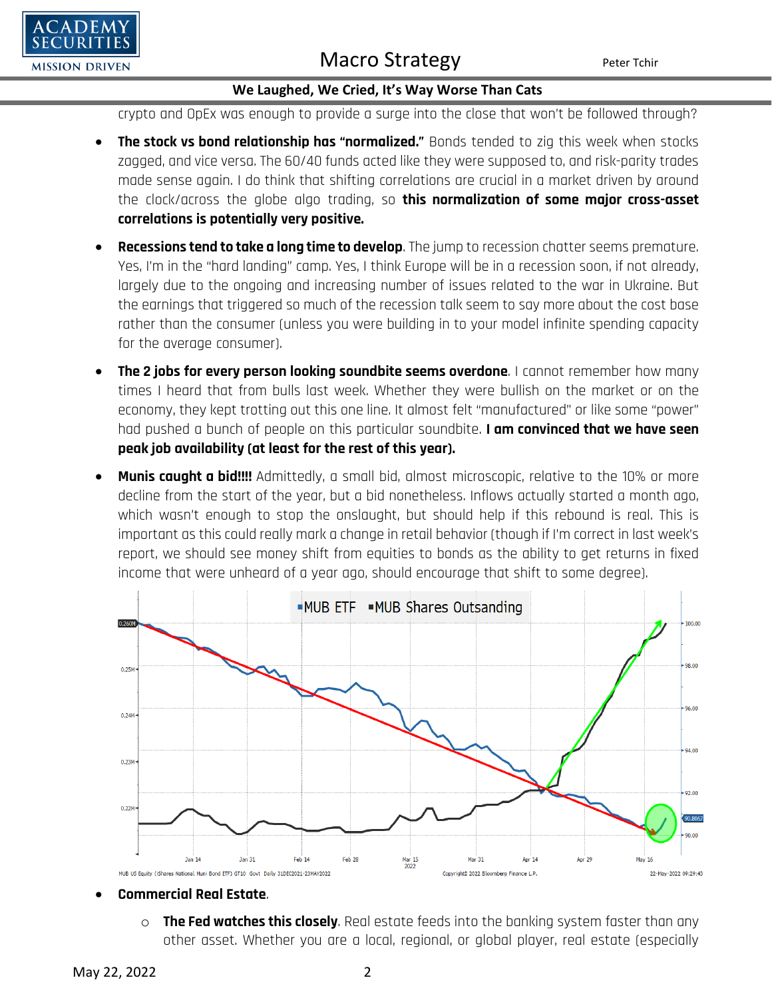

### **We Laughed, We Cried, It's Way Worse Than Cats**

crypto and OpEx was enough to provide a surge into the close that won't be followed through?

- **The stock vs bond relationship has "normalized."** Bonds tended to zig this week when stocks zagged, and vice versa. The 60/40 funds acted like they were supposed to, and risk-parity trades made sense again. I do think that shifting correlations are crucial in a market driven by around the clock/across the globe algo trading, so **this normalization of some major cross-asset correlations is potentially very positive.**
- **Recessions tend to take a long time to develop**. The jump to recession chatter seems premature. Yes, I'm in the "hard landing" camp. Yes, I think Europe will be in a recession soon, if not already, largely due to the ongoing and increasing number of issues related to the war in Ukraine. But the earnings that triggered so much of the recession talk seem to say more about the cost base rather than the consumer (unless you were building in to your model infinite spending capacity for the average consumer).
- **The 2 jobs for every person looking soundbite seems overdone**. I cannot remember how many times I heard that from bulls last week. Whether they were bullish on the market or on the economy, they kept trotting out this one line. It almost felt "manufactured" or like some "power" had pushed a bunch of people on this particular soundbite. **I am convinced that we have seen peak job availability (at least for the rest of this year).**
- **Munis caught a bid!!!!** Admittedly, a small bid, almost microscopic, relative to the 10% or more decline from the start of the year, but a bid nonetheless. Inflows actually started a month ago, which wasn't enough to stop the onslaught, but should help if this rebound is real. This is important as this could really mark a change in retail behavior (though if I'm correct in last week's report, we should see money shift from equities to bonds as the ability to get returns in fixed income that were unheard of a year ago, should encourage that shift to some degree).



- **Commercial Real Estate**.
	- o **The Fed watches this closely**. Real estate feeds into the banking system faster than any other asset. Whether you are a local, regional, or global player, real estate (especially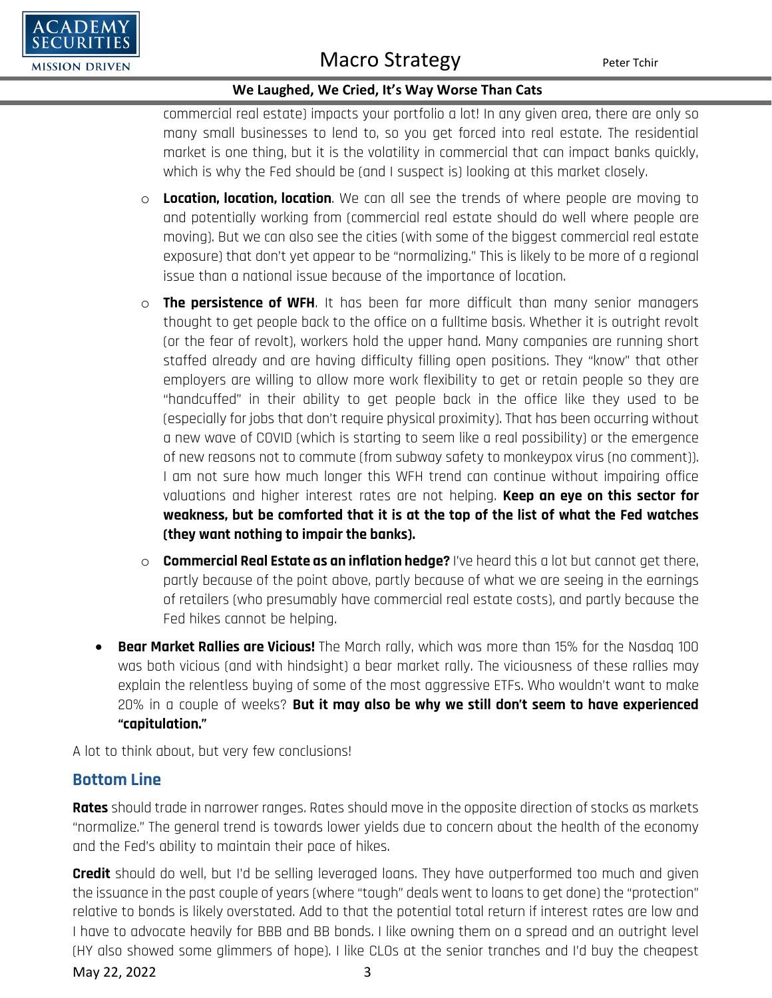

### **We Laughed, We Cried, It's Way Worse Than Cats**

commercial real estate) impacts your portfolio a lot! In any given area, there are only so many small businesses to lend to, so you get forced into real estate. The residential market is one thing, but it is the volatility in commercial that can impact banks quickly, which is why the Fed should be (and I suspect is) looking at this market closely.

- o **Location, location, location**. We can all see the trends of where people are moving to and potentially working from (commercial real estate should do well where people are moving). But we can also see the cities (with some of the biggest commercial real estate exposure) that don't yet appear to be "normalizing." This is likely to be more of a regional issue than a national issue because of the importance of location.
- o **The persistence of WFH**. It has been far more difficult than many senior managers thought to get people back to the office on a fulltime basis. Whether it is outright revolt (or the fear of revolt), workers hold the upper hand. Many companies are running short staffed already and are having difficulty filling open positions. They "know" that other employers are willing to allow more work flexibility to get or retain people so they are "handcuffed" in their ability to get people back in the office like they used to be (especially for jobs that don't require physical proximity). That has been occurring without a new wave of COVID (which is starting to seem like a real possibility) or the emergence of new reasons not to commute (from subway safety to monkeypox virus (no comment)). I am not sure how much longer this WFH trend can continue without impairing office valuations and higher interest rates are not helping. **Keep an eye on this sector for weakness, but be comforted that it is at the top of the list of what the Fed watches (they want nothing to impair the banks).**
- o **Commercial Real Estate as an inflation hedge?** I've heard this a lot but cannot get there, partly because of the point above, partly because of what we are seeing in the earnings of retailers (who presumably have commercial real estate costs), and partly because the Fed hikes cannot be helping.
- **Bear Market Rallies are Vicious!** The March rally, which was more than 15% for the Nasdaq 100 was both vicious (and with hindsight) a bear market rally. The viciousness of these rallies may explain the relentless buying of some of the most aggressive ETFs. Who wouldn't want to make 20% in a couple of weeks? **But it may also be why we still don't seem to have experienced "capitulation."**

A lot to think about, but very few conclusions!

### **Bottom Line**

**Rates** should trade in narrower ranges. Rates should move in the opposite direction of stocks as markets "normalize." The general trend is towards lower yields due to concern about the health of the economy and the Fed's ability to maintain their pace of hikes.

**Credit** should do well, but I'd be selling leveraged loans. They have outperformed too much and given the issuance in the past couple of years (where "tough" deals went to loans to get done) the "protection" relative to bonds is likely overstated. Add to that the potential total return if interest rates are low and I have to advocate heavily for BBB and BB bonds. I like owning them on a spread and an outright level (HY also showed some glimmers of hope). I like CLOs at the senior tranches and I'd buy the cheapest

May 22, 2022 3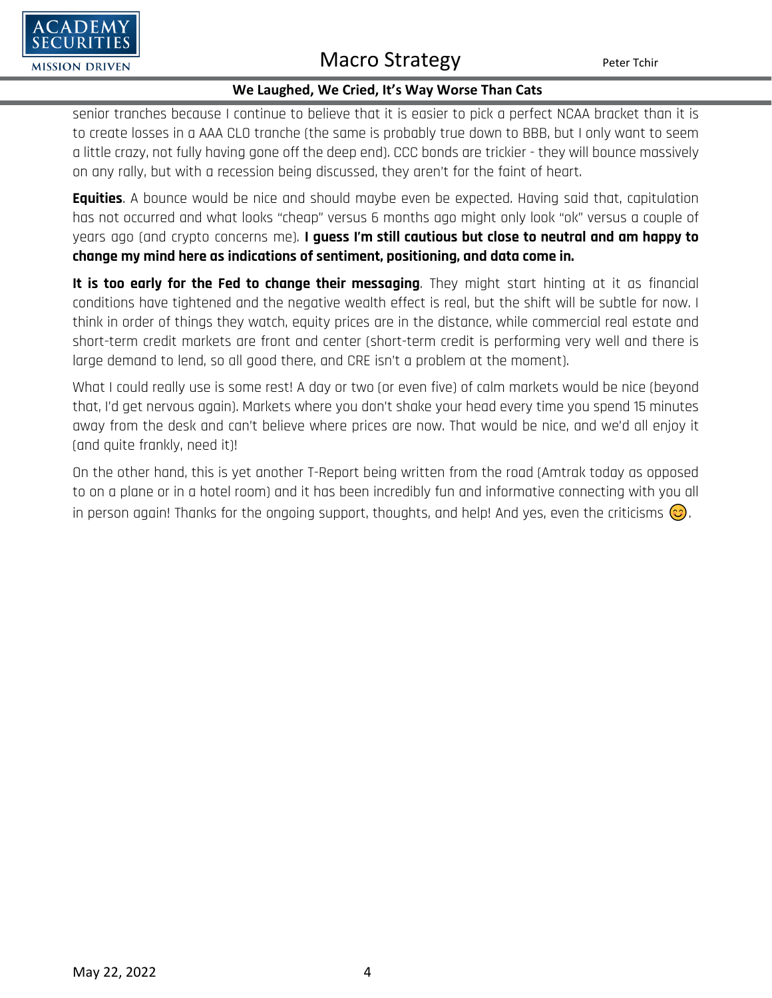

#### **We Laughed, We Cried, It's Way Worse Than Cats**

senior tranches because I continue to believe that it is easier to pick a perfect NCAA bracket than it is to create losses in a AAA CLO tranche (the same is probably true down to BBB, but I only want to seem a little crazy, not fully having gone off the deep end). CCC bonds are trickier - they will bounce massively on any rally, but with a recession being discussed, they aren't for the faint of heart.

**Equities**. A bounce would be nice and should maybe even be expected. Having said that, capitulation has not occurred and what looks "cheap" versus 6 months ago might only look "ok" versus a couple of years ago (and crypto concerns me). **I guess I'm still cautious but close to neutral and am happy to change my mind here as indications of sentiment, positioning, and data come in.**

**It is too early for the Fed to change their messaging**. They might start hinting at it as financial conditions have tightened and the negative wealth effect is real, but the shift will be subtle for now. I think in order of things they watch, equity prices are in the distance, while commercial real estate and short-term credit markets are front and center (short-term credit is performing very well and there is large demand to lend, so all good there, and CRE isn't a problem at the moment).

What I could really use is some rest! A day or two (or even five) of calm markets would be nice (beyond that, I'd get nervous again). Markets where you don't shake your head every time you spend 15 minutes away from the desk and can't believe where prices are now. That would be nice, and we'd all enjoy it (and quite frankly, need it)!

On the other hand, this is yet another T-Report being written from the road (Amtrak today as opposed to on a plane or in a hotel room) and it has been incredibly fun and informative connecting with you all in person again! Thanks for the ongoing support, thoughts, and help! And yes, even the criticisms  $\circled{c}$ .